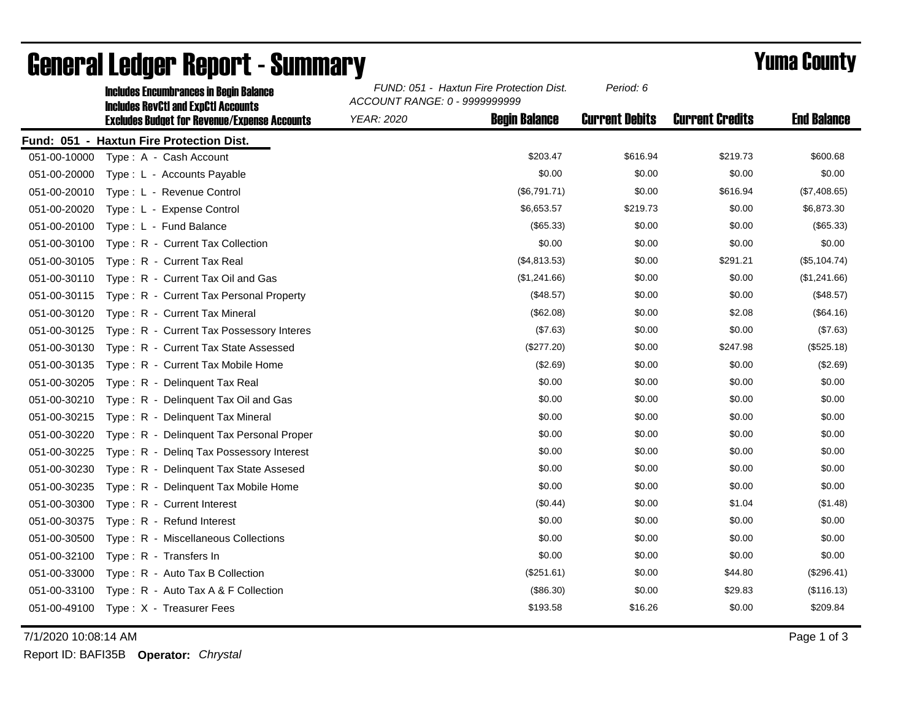|              | <b>Includes Encumbrances in Begin Balance</b><br><b>Includes RevCtI and ExpCtI Accounts</b> | FUND: 051 - Haxtun Fire Protection Dist.<br>ACCOUNT RANGE: 0 - 9999999999 |                      | Period: 6             |                        |                    |
|--------------|---------------------------------------------------------------------------------------------|---------------------------------------------------------------------------|----------------------|-----------------------|------------------------|--------------------|
|              | <b>Excludes Budget for Revenue/Expense Accounts</b>                                         | <b>YEAR: 2020</b>                                                         | <b>Begin Balance</b> | <b>Current Debits</b> | <b>Current Credits</b> | <b>End Balance</b> |
|              | Fund: 051 - Haxtun Fire Protection Dist.                                                    |                                                                           |                      |                       |                        |                    |
| 051-00-10000 | Type: A - Cash Account                                                                      |                                                                           | \$203.47             | \$616.94              | \$219.73               | \$600.68           |
| 051-00-20000 | Type: L - Accounts Payable                                                                  |                                                                           | \$0.00               | \$0.00                | \$0.00                 | \$0.00             |
| 051-00-20010 | Type: L - Revenue Control                                                                   |                                                                           | (\$6,791.71)         | \$0.00                | \$616.94               | (\$7,408.65)       |
| 051-00-20020 | Type: L - Expense Control                                                                   |                                                                           | \$6,653.57           | \$219.73              | \$0.00                 | \$6,873.30         |
| 051-00-20100 | Type: L - Fund Balance                                                                      |                                                                           | (\$65.33)            | \$0.00                | \$0.00                 | (\$65.33)          |
| 051-00-30100 | Type: R - Current Tax Collection                                                            |                                                                           | \$0.00               | \$0.00                | \$0.00                 | \$0.00             |
| 051-00-30105 | Type: R - Current Tax Real                                                                  |                                                                           | (\$4,813.53)         | \$0.00                | \$291.21               | (\$5,104.74)       |
| 051-00-30110 | Type: R - Current Tax Oil and Gas                                                           |                                                                           | (\$1,241.66)         | \$0.00                | \$0.00                 | (\$1,241.66)       |
| 051-00-30115 | Type: R - Current Tax Personal Property                                                     |                                                                           | (\$48.57)            | \$0.00                | \$0.00                 | (\$48.57)          |
| 051-00-30120 | Type: R - Current Tax Mineral                                                               |                                                                           | (\$62.08)            | \$0.00                | \$2.08                 | (\$64.16)          |
| 051-00-30125 | Type: R - Current Tax Possessory Interes                                                    |                                                                           | (\$7.63)             | \$0.00                | \$0.00                 | (\$7.63)           |
| 051-00-30130 | Type: R - Current Tax State Assessed                                                        |                                                                           | $(\$277.20)$         | \$0.00                | \$247.98               | (\$525.18)         |
| 051-00-30135 | Type: R - Current Tax Mobile Home                                                           |                                                                           | (\$2.69)             | \$0.00                | \$0.00                 | (\$2.69)           |
| 051-00-30205 | Type: R - Delinquent Tax Real                                                               |                                                                           | \$0.00               | \$0.00                | \$0.00                 | \$0.00             |
| 051-00-30210 | Type: R - Delinquent Tax Oil and Gas                                                        |                                                                           | \$0.00               | \$0.00                | \$0.00                 | \$0.00             |
| 051-00-30215 | Type: R - Delinquent Tax Mineral                                                            |                                                                           | \$0.00               | \$0.00                | \$0.00                 | \$0.00             |
| 051-00-30220 | Type: R - Delinquent Tax Personal Proper                                                    |                                                                           | \$0.00               | \$0.00                | \$0.00                 | \$0.00             |
| 051-00-30225 | Type: R - Deling Tax Possessory Interest                                                    |                                                                           | \$0.00               | \$0.00                | \$0.00                 | \$0.00             |
| 051-00-30230 | Type: R - Delinquent Tax State Assesed                                                      |                                                                           | \$0.00               | \$0.00                | \$0.00                 | \$0.00             |
| 051-00-30235 | Type: R - Delinquent Tax Mobile Home                                                        |                                                                           | \$0.00               | \$0.00                | \$0.00                 | \$0.00             |
| 051-00-30300 | Type: R - Current Interest                                                                  |                                                                           | (\$0.44)             | \$0.00                | \$1.04                 | (\$1.48)           |
| 051-00-30375 | Type: R - Refund Interest                                                                   |                                                                           | \$0.00               | \$0.00                | \$0.00                 | \$0.00             |
| 051-00-30500 | Type: R - Miscellaneous Collections                                                         |                                                                           | \$0.00               | \$0.00                | \$0.00                 | \$0.00             |
| 051-00-32100 | Type: R - Transfers In                                                                      |                                                                           | \$0.00               | \$0.00                | \$0.00                 | \$0.00             |
| 051-00-33000 | Type: R - Auto Tax B Collection                                                             |                                                                           | (\$251.61)           | \$0.00                | \$44.80                | (\$296.41)         |
| 051-00-33100 | Type: R - Auto Tax A & F Collection                                                         |                                                                           | (\$86.30)            | \$0.00                | \$29.83                | (\$116.13)         |
|              | 051-00-49100 Type: X - Treasurer Fees                                                       |                                                                           | \$193.58             | \$16.26               | \$0.00                 | \$209.84           |

## General Ledger Report - Summary **Example 2018** Yuma County

7/1/2020 10:08:14 AM Page 1 of 3

Report ID: BAFI35B **Operator:** *Chrystal*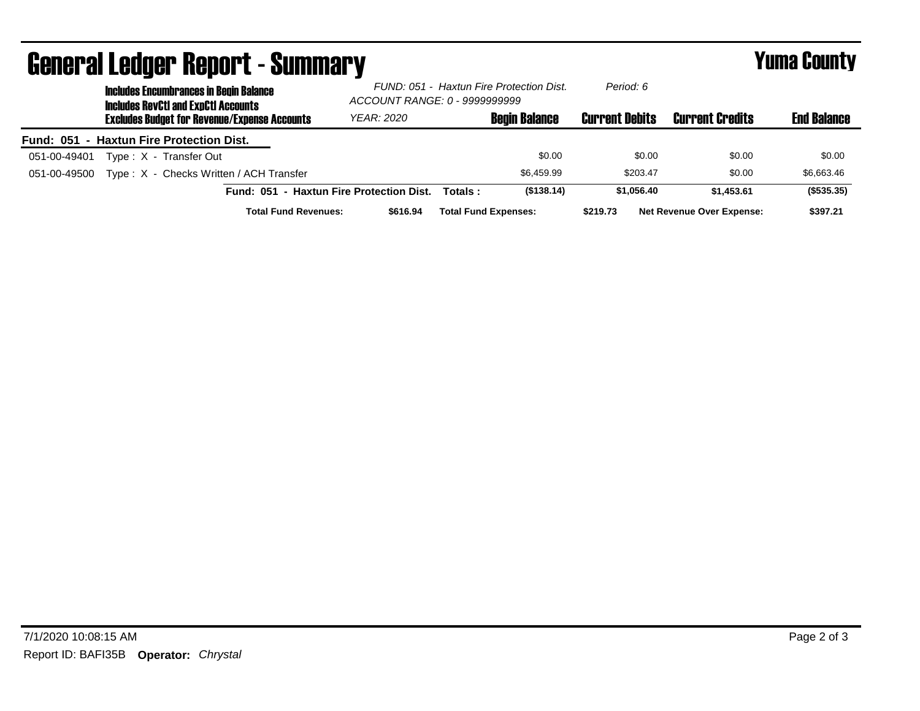| <b>General Ledger Report - Summary</b> |                                                     |                                                                                             |                                          |                                                                           |         |                             | <b>Yuma County</b>    |                                  |                    |
|----------------------------------------|-----------------------------------------------------|---------------------------------------------------------------------------------------------|------------------------------------------|---------------------------------------------------------------------------|---------|-----------------------------|-----------------------|----------------------------------|--------------------|
|                                        |                                                     | <b>Includes Encumbrances in Begin Balance</b><br><b>Includes RevCtI and ExnCtI Accounts</b> |                                          | FUND: 051 - Haxtun Fire Protection Dist.<br>ACCOUNT RANGE: 0 - 9999999999 |         | Period: 6                   |                       |                                  |                    |
|                                        | <b>Excludes Budget for Revenue/Expense Accounts</b> |                                                                                             |                                          | <b>YEAR: 2020</b>                                                         |         | <b>Begin Balance</b>        | <b>Current Debits</b> | <b>Current Credits</b>           | <b>End Balance</b> |
|                                        |                                                     | Fund: 051 - Haxtun Fire Protection Dist.                                                    |                                          |                                                                           |         |                             |                       |                                  |                    |
| 051-00-49401                           |                                                     | Type: X - Transfer Out                                                                      |                                          |                                                                           |         | \$0.00                      | \$0.00                | \$0.00                           | \$0.00             |
| 051-00-49500                           |                                                     | Type: X - Checks Written / ACH Transfer                                                     |                                          |                                                                           |         | \$6,459.99                  | \$203.47              | \$0.00                           | \$6,663.46         |
|                                        |                                                     |                                                                                             | Fund: 051 - Haxtun Fire Protection Dist. |                                                                           | Totals: | (\$138.14)                  | \$1.056.40            | \$1,453,61                       | (\$535.35)         |
|                                        |                                                     |                                                                                             | <b>Total Fund Revenues:</b>              | \$616.94                                                                  |         | <b>Total Fund Expenses:</b> | \$219.73              | <b>Net Revenue Over Expense:</b> | \$397.21           |